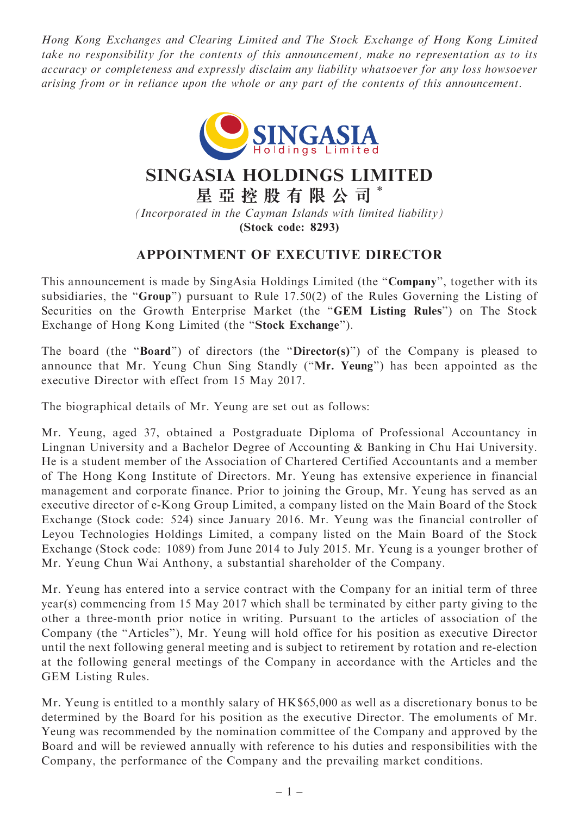Hong Kong Exchanges and Clearing Limited and The Stock Exchange of Hong Kong Limited take no responsibility for the contents of this announcement, make no representation as to its accuracy or completeness and expressly disclaim any liability whatsoever for any loss howsoever arising from or in reliance upon the whole or any part of the contents of this announcement.



## SINGASIA HOLDINGS LIMITED

星 亞 控 股 有 限 公 司 \*

(Incorporated in the Cayman Islands with limited liability) (Stock code: 8293)

## APPOINTMENT OF EXECUTIVE DIRECTOR

This announcement is made by SingAsia Holdings Limited (the "Company", together with its subsidiaries, the "Group") pursuant to Rule 17.50(2) of the Rules Governing the Listing of Securities on the Growth Enterprise Market (the ''GEM Listing Rules'') on The Stock Exchange of Hong Kong Limited (the ''Stock Exchange'').

The board (the "Board") of directors (the "Director(s)") of the Company is pleased to announce that Mr. Yeung Chun Sing Standly (''Mr. Yeung'') has been appointed as the executive Director with effect from 15 May 2017.

The biographical details of Mr. Yeung are set out as follows:

Mr. Yeung, aged 37, obtained a Postgraduate Diploma of Professional Accountancy in Lingnan University and a Bachelor Degree of Accounting & Banking in Chu Hai University. He is a student member of the Association of Chartered Certified Accountants and a member of The Hong Kong Institute of Directors. Mr. Yeung has extensive experience in financial management and corporate finance. Prior to joining the Group, Mr. Yeung has served as an executive director of e-Kong Group Limited, a company listed on the Main Board of the Stock Exchange (Stock code: 524) since January 2016. Mr. Yeung was the financial controller of Leyou Technologies Holdings Limited, a company listed on the Main Board of the Stock Exchange (Stock code: 1089) from June 2014 to July 2015. Mr. Yeung is a younger brother of Mr. Yeung Chun Wai Anthony, a substantial shareholder of the Company.

Mr. Yeung has entered into a service contract with the Company for an initial term of three year(s) commencing from 15 May 2017 which shall be terminated by either party giving to the other a three-month prior notice in writing. Pursuant to the articles of association of the Company (the ''Articles''), Mr. Yeung will hold office for his position as executive Director until the next following general meeting and is subject to retirement by rotation and re-election at the following general meetings of the Company in accordance with the Articles and the GEM Listing Rules.

Mr. Yeung is entitled to a monthly salary of HK\$65,000 as well as a discretionary bonus to be determined by the Board for his position as the executive Director. The emoluments of Mr. Yeung was recommended by the nomination committee of the Company and approved by the Board and will be reviewed annually with reference to his duties and responsibilities with the Company, the performance of the Company and the prevailing market conditions.